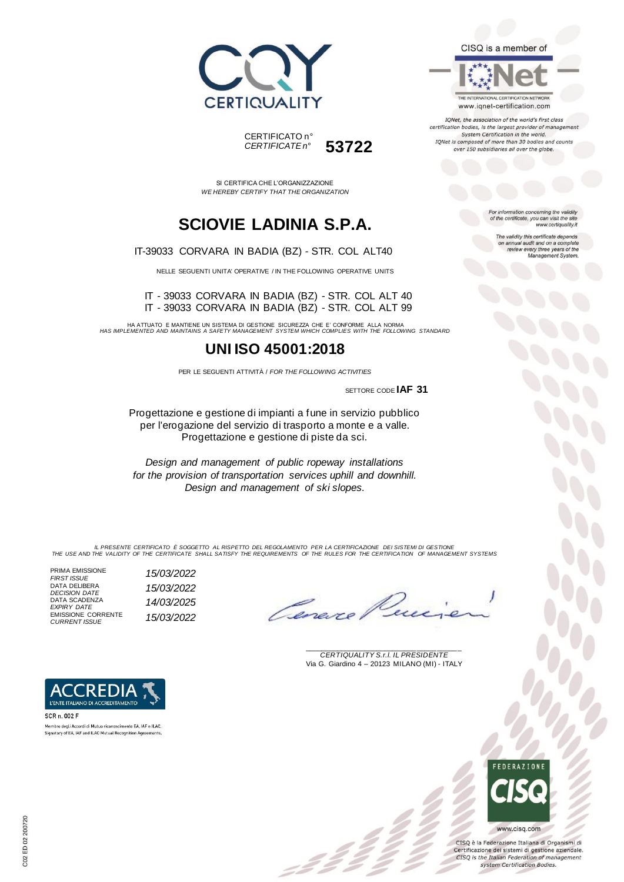



SI CERTIFICA CHE L'ORGANIZZAZIONE *WE HEREBY CERTIFY THAT THE ORGANIZATION*

## **SCIOVIE LADINIA S.P.A.**

IT-39033 CORVARA IN BADIA (BZ) - STR. COL ALT40

NELLE SEGUENTI UNITA' OPERATIVE / IN THE FOLLOWING OPERATIVE UNITS

IT - 39033 CORVARA IN BADIA (BZ) - STR. COL ALT 40 IT - 39033 CORVARA IN BADIA (BZ) - STR. COL ALT 99

HA ATTUATO E MANTIENE UN SISTEMA DI GESTIONE SICUREZZA CHE E' CONFORME ALLA NORMA *HAS IMPLEMENTED AND MAINTAINS A SAFETY MANAGEMENT SYSTEM WHICH COMPLIES WITH THE FOLLOWING STANDARD*

### **UNI ISO 45001:2018**

PER LE SEGUENTI ATTIVITÀ / *FOR THE FOLLOWING ACTIVITIES*

SETTORE CODE **IAF 31**

Progettazione e gestione di impianti a fune in servizio pubblico per l'erogazione del servizio di trasporto a monte e a valle. Progettazione e gestione di piste da sci.

*Design and management of public ropeway installations for the provision of transportation services uphill and downhill. Design and management of ski slopes.*

IL PRESENTE CERTIFICATO E SOGGETTO AL RISPETTO DEL REGOLAMENTO PER LA CERTIFICAZIONE DEI SISTEMI DI GESTIONE<br>THE USE AND THE VALIDITY OF THE CERTIFICATE SHALL SATISFY THE REQUIREMENTS OF THE RULES FOR THE CERTIFICATION OF

PRIMA EMISSIONE<br>FIRST ISSUE *FIRST ISSUE 15/03/2022* DATA DELIBERA *DECISION DATE 15/03/2022* DATA SCADENZA *EXPIRY DATE 14/03/2025* EMISSIONE CORRENTE

L'ENTE ITALIANO DI ACCREDITAMENTO

Membro degli Accordi di Mutuo riconoscimento EA JAE e ILAC. Signatory of EA, IAF and ILAC Mutual Recognition Agreements.

SCR n. 002 F

*CURRENT ISSUE 15/03/2022*



\_\_\_\_\_\_\_\_\_\_\_\_\_\_\_\_\_\_\_\_\_\_\_\_\_\_\_\_\_\_\_\_\_\_\_\_\_\_\_ *CERTIQUALITY S.r.l. IL PRESIDENTE* Via G. Giardino 4 – 20123 MILANO (MI) - ITALY

### CISQ is a member of

THE INTERNATIONAL CERTIFICATION NETWORK www.iqnet-certification.com

IQNet, the association of the world's first class certification bodies, is the largest provider of managem System Certification in the world. IQNet is composed of more than 30 bodies and counts over 150 subsidiaries all over the globe.

> For information concerning the validity<br>of the certificate, you can visit the site www.certiquality.it

> > The validity this certificate depends on annual audit and on a complete<br>review every three years of the<br>Management System.



CISQ è la Federazione Italiana di Organismi di Certificazione dei sistemi di gestione aziendale. CISQ is the Italian Federation of management system Certification Bodies.